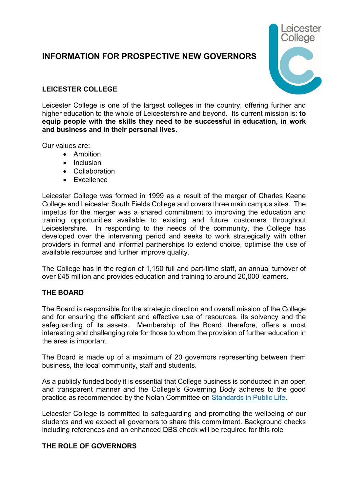# **INFORMATION FOR PROSPECTIVE NEW GOVERNORS**



## **LEICESTER COLLEGE**

Leicester College is one of the largest colleges in the country, offering further and higher education to the whole of Leicestershire and beyond. Its current mission is: **to equip people with the skills they need to be successful in education, in work and business and in their personal lives.**

Our values are:

- Ambition
- Inclusion
- Collaboration
- Excellence

Leicester College was formed in 1999 as a result of the merger of Charles Keene College and Leicester South Fields College and covers three main campus sites. The impetus for the merger was a shared commitment to improving the education and training opportunities available to existing and future customers throughout Leicestershire. In responding to the needs of the community, the College has developed over the intervening period and seeks to work strategically with other providers in formal and informal partnerships to extend choice, optimise the use of available resources and further improve quality.

The College has in the region of 1,150 full and part-time staff, an annual turnover of over £45 million and provides education and training to around 20,000 learners.

#### **THE BOARD**

The Board is responsible for the strategic direction and overall mission of the College and for ensuring the efficient and effective use of resources, its solvency and the safeguarding of its assets. Membership of the Board, therefore, offers a most interesting and challenging role for those to whom the provision of further education in the area is important.

The Board is made up of a maximum of 20 governors representing between them business, the local community, staff and students.

As a publicly funded body it is essential that College business is conducted in an open and transparent manner and the College's Governing Body adheres to the good practice as recommended by the Nolan Committee on [Standards in Public Life.](https://www.gov.uk/government/publications/the-7-principles-of-public-life/the-7-principles-of-public-life--2)

Leicester College is committed to safeguarding and promoting the wellbeing of our students and we expect all governors to share this commitment. Background checks including references and an enhanced DBS check will be required for this role

## **THE ROLE OF GOVERNORS**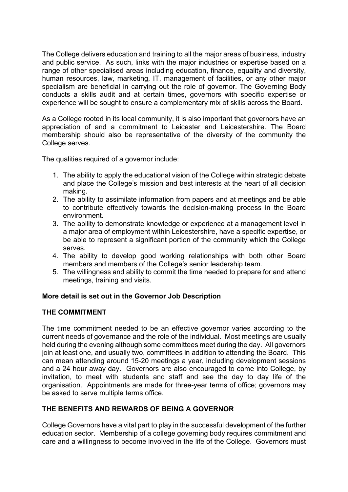The College delivers education and training to all the major areas of business, industry and public service. As such, links with the major industries or expertise based on a range of other specialised areas including education, finance, equality and diversity, human resources, law, marketing, IT, management of facilities, or any other major specialism are beneficial in carrying out the role of governor. The Governing Body conducts a skills audit and at certain times, governors with specific expertise or experience will be sought to ensure a complementary mix of skills across the Board.

As a College rooted in its local community, it is also important that governors have an appreciation of and a commitment to Leicester and Leicestershire. The Board membership should also be representative of the diversity of the community the College serves.

The qualities required of a governor include:

- 1. The ability to apply the educational vision of the College within strategic debate and place the College's mission and best interests at the heart of all decision making.
- 2. The ability to assimilate information from papers and at meetings and be able to contribute effectively towards the decision-making process in the Board environment.
- 3. The ability to demonstrate knowledge or experience at a management level in a major area of employment within Leicestershire, have a specific expertise, or be able to represent a significant portion of the community which the College serves.
- 4. The ability to develop good working relationships with both other Board members and members of the College's senior leadership team.
- 5. The willingness and ability to commit the time needed to prepare for and attend meetings, training and visits.

## **More detail is set out in the Governor Job Description**

## **THE COMMITMENT**

The time commitment needed to be an effective governor varies according to the current needs of governance and the role of the individual. Most meetings are usually held during the evening although some committees meet during the day. All governors join at least one, and usually two, committees in addition to attending the Board. This can mean attending around 15-20 meetings a year, including development sessions and a 24 hour away day. Governors are also encouraged to come into College, by invitation, to meet with students and staff and see the day to day life of the organisation. Appointments are made for three-year terms of office; governors may be asked to serve multiple terms office.

## **THE BENEFITS AND REWARDS OF BEING A GOVERNOR**

College Governors have a vital part to play in the successful development of the further education sector. Membership of a college governing body requires commitment and care and a willingness to become involved in the life of the College. Governors must